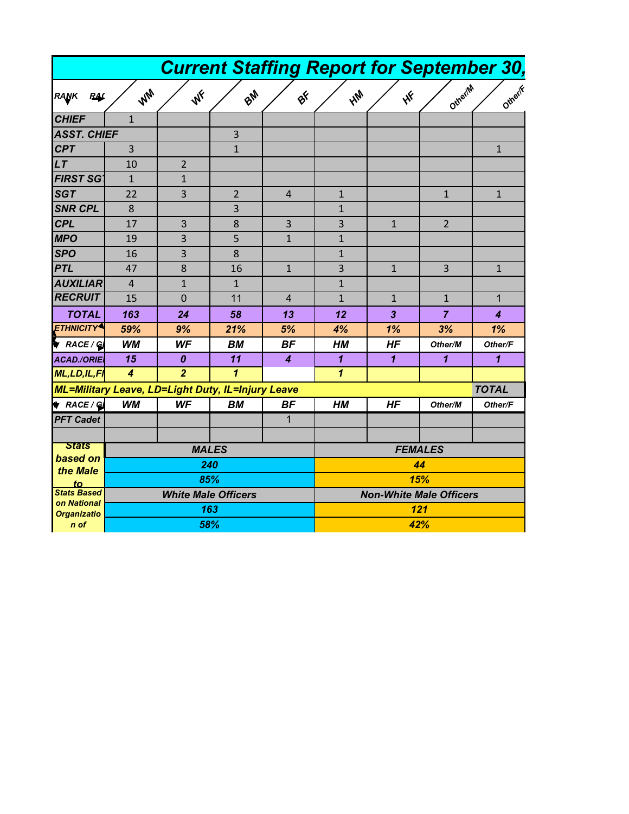|                                                   |                            |                  |              | <b>Current Staffing Report for September 30,</b> |                                |              |                |              |  |
|---------------------------------------------------|----------------------------|------------------|--------------|--------------------------------------------------|--------------------------------|--------------|----------------|--------------|--|
| RANK<br><b>RAC</b>                                | WW                         | WF               | BM           | $\mathbf{e}^{\mathbf{k}}$                        | <b>HM</b>                      | WF           | Otherin        | Otherik      |  |
| <b>CHIEF</b>                                      | $\mathbf{1}$               |                  |              |                                                  |                                |              |                |              |  |
| <b>ASST. CHIEF</b>                                |                            |                  | 3            |                                                  |                                |              |                |              |  |
| <b>CPT</b>                                        | $\overline{3}$             |                  | $\mathbf{1}$ |                                                  |                                |              |                | $\mathbf{1}$ |  |
| LT                                                | 10                         | $\overline{2}$   |              |                                                  |                                |              |                |              |  |
| <b>FIRST SGT</b>                                  | $\mathbf{1}$               | $\mathbf{1}$     |              |                                                  |                                |              |                |              |  |
| <b>SGT</b>                                        | 22                         | $\overline{3}$   | 2            | $\overline{4}$                                   | $\mathbf{1}$                   |              | $\mathbf{1}$   | $\mathbf{1}$ |  |
| <b>SNR CPL</b>                                    | 8                          |                  | 3            |                                                  | $\mathbf{1}$                   |              |                |              |  |
| <b>CPL</b>                                        | 17                         | 3                | 8            | 3                                                | 3                              | $\mathbf{1}$ | $\overline{2}$ |              |  |
| <b>MPO</b>                                        | 19                         | 3                | 5            | $\mathbf{1}$                                     | $\mathbf{1}$                   |              |                |              |  |
| <b>SPO</b>                                        | 16                         | 3                | 8            |                                                  | $\mathbf{1}$                   |              |                |              |  |
| <b>PTL</b>                                        | 47                         | 8                | 16           | $\mathbf{1}$                                     | 3                              | $\mathbf{1}$ | 3              | $\mathbf{1}$ |  |
| <b>AUXILIAR</b>                                   | 4                          | $\mathbf{1}$     | $\mathbf{1}$ |                                                  | $\mathbf{1}$                   |              |                |              |  |
| <b>RECRUIT</b>                                    | 15                         | $\mathbf 0$      | 11           | $\overline{4}$                                   | $\mathbf{1}$                   | $\mathbf{1}$ | $\mathbf{1}$   | $\mathbf{1}$ |  |
| <b>TOTAL</b>                                      | 163                        | 24               | 58           | 13                                               | 12                             | 3            | 7              | 4            |  |
| <b>ETHNICITY<sup>4</sup></b>                      | 59%                        | 9%               | 21%          | 5%                                               | 4%                             | 1%           | 3%             | 1%           |  |
| RACE/G                                            | <b>WM</b>                  | <b>WF</b>        | BМ           | <b>BF</b>                                        | HМ                             | <b>HF</b>    | Other/M        | Other/F      |  |
| <b>ACAD./ORIEI</b>                                | 15                         | $\boldsymbol{0}$ | 11           | $\overline{4}$                                   | $\mathbf{1}$                   | $\mathbf{1}$ | $\mathbf{1}$   | $\mathbf{1}$ |  |
| <b>ML,LD,IL,FI</b>                                | $\boldsymbol{A}$           | $\overline{2}$   | $\mathbf{1}$ |                                                  | $\mathbf{1}$                   |              |                |              |  |
| ML=Military Leave, LD=Light Duty, IL=Injury Leave |                            |                  |              |                                                  |                                |              |                | <b>TOTAL</b> |  |
| $\bullet$ RACE / GI                               | <b>WM</b>                  | <b>WF</b>        | <b>BM</b>    | <b>BF</b>                                        | <b>HM</b>                      | HF           | Other/M        | Other/F      |  |
| <b>PFT Cadet</b>                                  |                            |                  |              | 1                                                |                                |              |                |              |  |
| <b>Stats</b>                                      |                            |                  |              |                                                  |                                |              |                |              |  |
| based on                                          | <b>MALES</b>               |                  |              |                                                  | <b>FEMALES</b>                 |              |                |              |  |
| the Male                                          | 240                        |                  |              |                                                  | 44                             |              |                |              |  |
| to<br><b>Stats Based</b>                          |                            | 85%              |              |                                                  | 15%                            |              |                |              |  |
| on National                                       | <b>White Male Officers</b> |                  |              |                                                  | <b>Non-White Male Officers</b> |              |                |              |  |
| <b>Organizatio</b>                                | 163                        |                  |              |                                                  | 121                            |              |                |              |  |
| $n$ of                                            |                            | 58%              |              |                                                  |                                | 42%          |                |              |  |